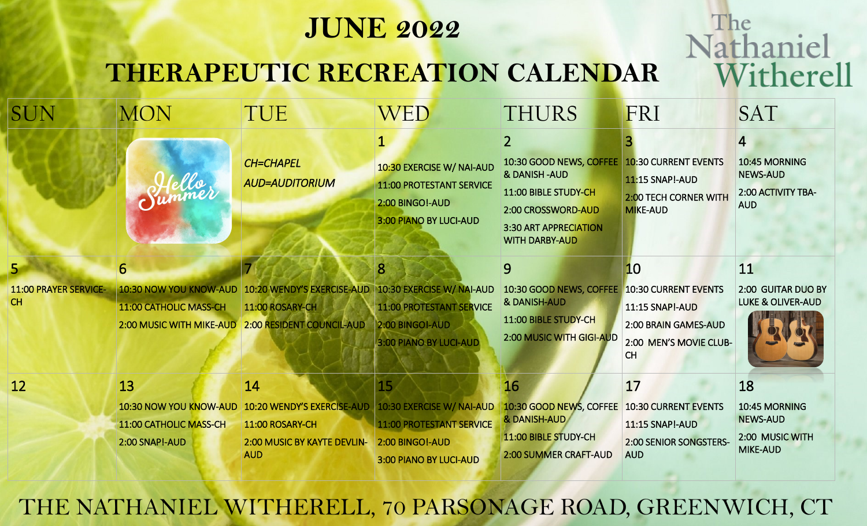## **JUNE 2022**

The

Nathaniel

Witherell

## **THERAPEUTIC RECREATION CALENDAR**

| SUN                                       | <b>MON</b>                                                                   | TUE                                                                                                           | <b>WED</b>                                                                                         | <b>THURS</b>                                                                                                                                   | FRI                                                                                        | <b>SAT</b>                                                                |
|-------------------------------------------|------------------------------------------------------------------------------|---------------------------------------------------------------------------------------------------------------|----------------------------------------------------------------------------------------------------|------------------------------------------------------------------------------------------------------------------------------------------------|--------------------------------------------------------------------------------------------|---------------------------------------------------------------------------|
|                                           |                                                                              | <b>CH=CHAPEL</b><br><b>AUD=AUDITORIUM</b>                                                                     | 10:30 EXERCISE W/ NAI-AUD<br>11:00 PROTESTANT SERVICE<br>2:00 BINGO!-AUD<br>3:00 PIANO BY LUCI-AUD | 10:30 GOOD NEWS, COFFEE<br>& DANISH-AUD<br>11:00 BIBLE STUDY-CH<br>2:00 CROSSWORD-AUD<br><b>3:30 ART APPRECIATION</b><br><b>WITH DARBY-AUD</b> | <b>10:30 CURRENT EVENTS</b><br><b>11:15 SNAP!-AUD</b><br>2:00 TECH CORNER WITH<br>MIKE-AUD | 4<br>10:45 MORNING<br><b>NEWS-AUD</b><br>2:00 ACTIVITY TBA-<br><b>AUD</b> |
| $\overline{5}$                            | 6                                                                            |                                                                                                               | 8                                                                                                  | 9                                                                                                                                              | 10                                                                                         | 11                                                                        |
| <b>11:00 PRAYER SERVICE-</b><br><b>CH</b> | 10:30 NOW YOU KNOW-AUD<br>11:00 CATHOLIC MASS-CH<br>2:00 MUSIC WITH MIKE-AUD | 10:20 WENDY'S EXERCISE-AUD   10:30 EXERCISE W/ NAI-AUD<br>11:00 ROSARY-CH<br><b>2:00 RESIDENT COUNCIL-AUD</b> | <b>11:00 PROTESTANT SERVICE</b><br><b>2:00 BINGO!-AUD</b><br>3:00 PIANO BY LUCI-AUD                | 10:30 GOOD NEWS, COFFEE 10:30 CURRENT EVENTS<br>& DANISH-AUD<br>11:00 BIBLE STUDY-CH<br><b>2:00 MUSIC WITH GIGI-AUD</b>                        | <b>11:15 SNAP!-AUD</b><br>2:00 BRAIN GAMES-AUD<br>2:00 MEN'S MOVIE CLUB-<br><b>CH</b>      | 2:00 GUITAR DUO BY<br><b>LUKE &amp; OLIVER-AUD</b>                        |
| 12                                        | 13<br>10:30 NOW YOU KNOW-AUD<br>11:00 CATHOLIC MASS-CH<br>2:00 SNAP!-AUD     | 14<br>10:20 WENDY'S EXERCISE-AUD<br>11:00 ROSARY-CH<br>2:00 MUSIC BY KAYTE DEVLIN-                            | 15<br>10:30 EXERCISE W/ NAI-AUD<br>11:00 PROTESTANT SERVICE<br>2:00 BINGO!-AUD                     | 16<br>10:30 GOOD NEWS, COFFEE<br>& DANISH-AUD<br>11:00 BIBLE STUDY-CH                                                                          | 17<br>10:30 CURRENT EVENTS<br><b>11:15 SNAP!-AUD</b><br>2:00 SENIOR SONGSTERS-             | 18<br>10:45 MORNING<br><b>NEWS-AUD</b><br>2:00 MUSIC WITH                 |
|                                           |                                                                              | <b>AUD</b>                                                                                                    | 3:00 PIANO BY LUCI-AUD                                                                             | 2:00 SUMMER CRAFT-AUD                                                                                                                          | <b>AUD</b>                                                                                 | MIKE-AUD                                                                  |

THE NATHANIEL WITHERELL, 70 PARSONAGE ROAD, GREENWICH, CT